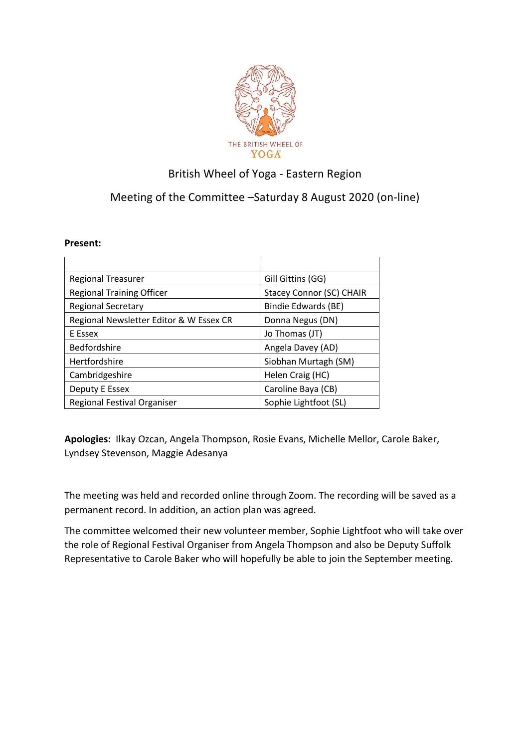

## British Wheel of Yoga - Eastern Region

## Meeting of the Committee –Saturday 8 August 2020 (on-line)

## **Present:**

| <b>Regional Treasurer</b>               | Gill Gittins (GG)               |
|-----------------------------------------|---------------------------------|
| <b>Regional Training Officer</b>        | <b>Stacey Connor (SC) CHAIR</b> |
| <b>Regional Secretary</b>               | Bindie Edwards (BE)             |
| Regional Newsletter Editor & W Essex CR | Donna Negus (DN)                |
| E Essex                                 | Jo Thomas (JT)                  |
| <b>Bedfordshire</b>                     | Angela Davey (AD)               |
| Hertfordshire                           | Siobhan Murtagh (SM)            |
| Cambridgeshire                          | Helen Craig (HC)                |
| Deputy E Essex                          | Caroline Baya (CB)              |
| <b>Regional Festival Organiser</b>      | Sophie Lightfoot (SL)           |

**Apologies:** Ilkay Ozcan, Angela Thompson, Rosie Evans, Michelle Mellor, Carole Baker, Lyndsey Stevenson, Maggie Adesanya

The meeting was held and recorded online through Zoom. The recording will be saved as a permanent record. In addition, an action plan was agreed.

The committee welcomed their new volunteer member, Sophie Lightfoot who will take over the role of Regional Festival Organiser from Angela Thompson and also be Deputy Suffolk Representative to Carole Baker who will hopefully be able to join the September meeting.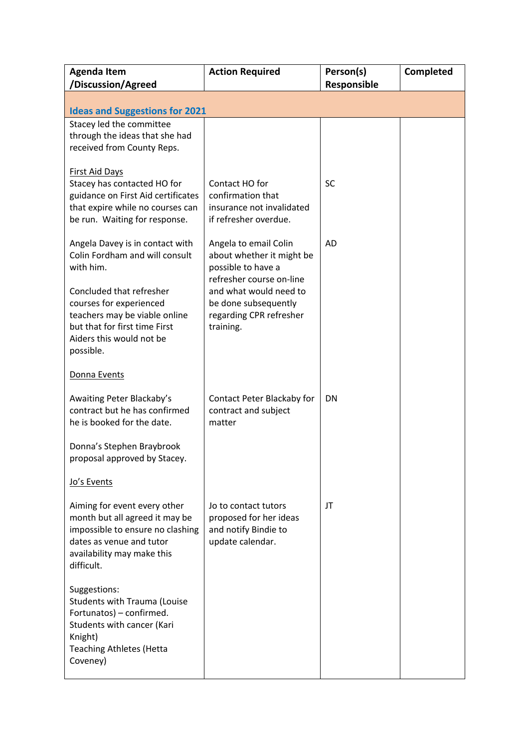| <b>Agenda Item</b><br>/Discussion/Agreed                                                                                                                                   | <b>Action Required</b>                                                                                             | Person(s)<br>Responsible | Completed |  |  |
|----------------------------------------------------------------------------------------------------------------------------------------------------------------------------|--------------------------------------------------------------------------------------------------------------------|--------------------------|-----------|--|--|
| <b>Ideas and Suggestions for 2021</b>                                                                                                                                      |                                                                                                                    |                          |           |  |  |
| Stacey led the committee<br>through the ideas that she had<br>received from County Reps.                                                                                   |                                                                                                                    |                          |           |  |  |
| <b>First Aid Days</b><br>Stacey has contacted HO for<br>guidance on First Aid certificates<br>that expire while no courses can<br>be run. Waiting for response.            | Contact HO for<br>confirmation that<br>insurance not invalidated<br>if refresher overdue.                          | <b>SC</b>                |           |  |  |
| Angela Davey is in contact with<br>Colin Fordham and will consult<br>with him.                                                                                             | Angela to email Colin<br>about whether it might be<br>possible to have a                                           | AD                       |           |  |  |
| Concluded that refresher<br>courses for experienced<br>teachers may be viable online<br>but that for first time First<br>Aiders this would not be<br>possible.             | refresher course on-line<br>and what would need to<br>be done subsequently<br>regarding CPR refresher<br>training. |                          |           |  |  |
| Donna Events                                                                                                                                                               |                                                                                                                    |                          |           |  |  |
| Awaiting Peter Blackaby's<br>contract but he has confirmed<br>he is booked for the date.                                                                                   | Contact Peter Blackaby for<br>contract and subject<br>matter                                                       | <b>DN</b>                |           |  |  |
| Donna's Stephen Braybrook<br>proposal approved by Stacey.                                                                                                                  |                                                                                                                    |                          |           |  |  |
| Jo's Events                                                                                                                                                                |                                                                                                                    |                          |           |  |  |
| Aiming for event every other<br>month but all agreed it may be<br>impossible to ensure no clashing<br>dates as venue and tutor<br>availability may make this<br>difficult. | Jo to contact tutors<br>proposed for her ideas<br>and notify Bindie to<br>update calendar.                         | JT                       |           |  |  |
| Suggestions:<br><b>Students with Trauma (Louise</b><br>Fortunatos) - confirmed.<br>Students with cancer (Kari<br>Knight)<br><b>Teaching Athletes (Hetta</b><br>Coveney)    |                                                                                                                    |                          |           |  |  |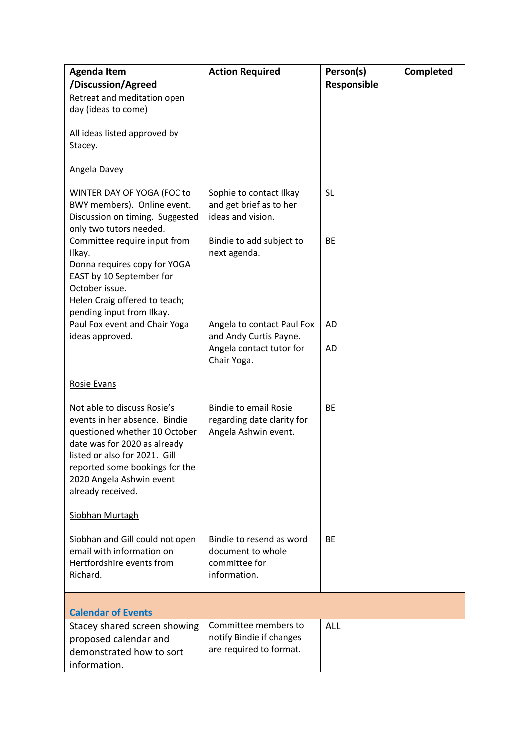| <b>Agenda Item</b><br>/Discussion/Agreed                                                                                                                                                                                                          | <b>Action Required</b>                                                             | Person(s)<br>Responsible | Completed |
|---------------------------------------------------------------------------------------------------------------------------------------------------------------------------------------------------------------------------------------------------|------------------------------------------------------------------------------------|--------------------------|-----------|
| Retreat and meditation open                                                                                                                                                                                                                       |                                                                                    |                          |           |
| day (ideas to come)                                                                                                                                                                                                                               |                                                                                    |                          |           |
| All ideas listed approved by<br>Stacey.                                                                                                                                                                                                           |                                                                                    |                          |           |
| <b>Angela Davey</b>                                                                                                                                                                                                                               |                                                                                    |                          |           |
| WINTER DAY OF YOGA (FOC to<br>BWY members). Online event.<br>Discussion on timing. Suggested<br>only two tutors needed.                                                                                                                           | Sophie to contact Ilkay<br>and get brief as to her<br>ideas and vision.            | <b>SL</b>                |           |
| Committee require input from<br>Ilkay.<br>Donna requires copy for YOGA<br>EAST by 10 September for<br>October issue.                                                                                                                              | Bindie to add subject to<br>next agenda.                                           | BE                       |           |
| Helen Craig offered to teach;<br>pending input from Ilkay.                                                                                                                                                                                        |                                                                                    |                          |           |
| Paul Fox event and Chair Yoga<br>ideas approved.                                                                                                                                                                                                  | Angela to contact Paul Fox<br>and Andy Curtis Payne.                               | AD                       |           |
|                                                                                                                                                                                                                                                   | Angela contact tutor for<br>Chair Yoga.                                            | <b>AD</b>                |           |
| <b>Rosie Evans</b>                                                                                                                                                                                                                                |                                                                                    |                          |           |
| Not able to discuss Rosie's<br>events in her absence. Bindie<br>questioned whether 10 October<br>date was for 2020 as already<br>listed or also for 2021. Gill<br>reported some bookings for the<br>2020 Angela Ashwin event<br>already received. | <b>Bindie to email Rosie</b><br>regarding date clarity for<br>Angela Ashwin event. | <b>BE</b>                |           |
| <b>Siobhan Murtagh</b>                                                                                                                                                                                                                            |                                                                                    |                          |           |
| Siobhan and Gill could not open<br>email with information on<br>Hertfordshire events from<br>Richard.                                                                                                                                             | Bindie to resend as word<br>document to whole<br>committee for<br>information.     | <b>BE</b>                |           |
| <b>Calendar of Events</b>                                                                                                                                                                                                                         |                                                                                    |                          |           |
| Stacey shared screen showing<br>proposed calendar and<br>demonstrated how to sort<br>information.                                                                                                                                                 | Committee members to<br>notify Bindie if changes<br>are required to format.        | <b>ALL</b>               |           |